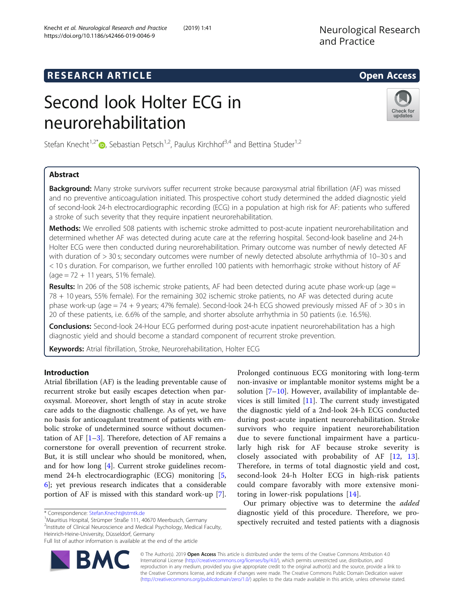# **RESEARCH ARTICLE Example 2014 12:30 The SEAR CH ACCESS**

# Second look Holter ECG in neurorehabilitation



Stefan Knecht<sup>1,2\*</sup>  $\bullet$ , Sebastian Petsch<sup>1,2</sup>, Paulus Kirchhof<sup>3,4</sup> and Bettina Studer<sup>1,2</sup>

# Abstract

**Background:** Many stroke survivors suffer recurrent stroke because paroxysmal atrial fibrillation (AF) was missed and no preventive anticoagulation initiated. This prospective cohort study determined the added diagnostic yield of second-look 24-h electrocardiographic recording (ECG) in a population at high risk for AF: patients who suffered a stroke of such severity that they require inpatient neurorehabilitation.

Methods: We enrolled 508 patients with ischemic stroke admitted to post-acute inpatient neurorehabilitation and determined whether AF was detected during acute care at the referring hospital. Second-look baseline and 24-h Holter ECG were then conducted during neurorehabilitation. Primary outcome was number of newly detected AF with duration of > 30 s; secondary outcomes were number of newly detected absolute arrhythmia of 10–30 s and < 10 s duration. For comparison, we further enrolled 100 patients with hemorrhagic stroke without history of AF  $(age = 72 + 11 years, 51\% female).$ 

Results: In 206 of the 508 ischemic stroke patients, AF had been detected during acute phase work-up (age = 78 + 10 years, 55% female). For the remaining 302 ischemic stroke patients, no AF was detected during acute phase work-up (age = 74 + 9 years; 47% female). Second-look 24-h ECG showed previously missed AF of > 30 s in 20 of these patients, i.e. 6.6% of the sample, and shorter absolute arrhythmia in 50 patients (i.e. 16.5%).

Conclusions: Second-look 24-Hour ECG performed during post-acute inpatient neurorehabilitation has a high diagnostic yield and should become a standard component of recurrent stroke prevention.

Keywords: Atrial fibrillation, Stroke, Neurorehabilitation, Holter ECG

# Introduction

Atrial fibrillation (AF) is the leading preventable cause of recurrent stroke but easily escapes detection when paroxysmal. Moreover, short length of stay in acute stroke care adds to the diagnostic challenge. As of yet, we have no basis for anticoagulant treatment of patients with embolic stroke of undetermined source without documentation of AF  $[1-3]$  $[1-3]$  $[1-3]$ . Therefore, detection of AF remains a cornerstone for overall prevention of recurrent stroke. But, it is still unclear who should be monitored, when, and for how long [\[4](#page-7-0)]. Current stroke guidelines recommend 24-h electrocardiographic (ECG) monitoring [\[5](#page-7-0), [6\]](#page-7-0); yet previous research indicates that a considerable portion of AF is missed with this standard work-up [\[7](#page-7-0)].

**BM** 

<sup>1</sup> Mauritius Hospital, Strümper Straße 111, 40670 Meerbusch, Germany <sup>2</sup>Institute of Clinical Neuroscience and Medical Psychology, Medical Faculty, Heinrich-Heine-University, Düsseldorf, Germany



Prolonged continuous ECG monitoring with long-term

Our primary objective was to determine the *added* diagnostic yield of this procedure. Therefore, we prospectively recruited and tested patients with a diagnosis

© The Author(s). 2019 Open Access This article is distributed under the terms of the Creative Commons Attribution 4.0 International License [\(http://creativecommons.org/licenses/by/4.0/](http://creativecommons.org/licenses/by/4.0/)), which permits unrestricted use, distribution, and reproduction in any medium, provided you give appropriate credit to the original author(s) and the source, provide a link to the Creative Commons license, and indicate if changes were made. The Creative Commons Public Domain Dedication waiver [\(http://creativecommons.org/publicdomain/zero/1.0/](http://creativecommons.org/publicdomain/zero/1.0/)) applies to the data made available in this article, unless otherwise stated.

<sup>\*</sup> Correspondence: [Stefan.Knecht@stmtk.de](mailto:Stefan.Knecht@stmtk.de) <sup>1</sup>

Full list of author information is available at the end of the article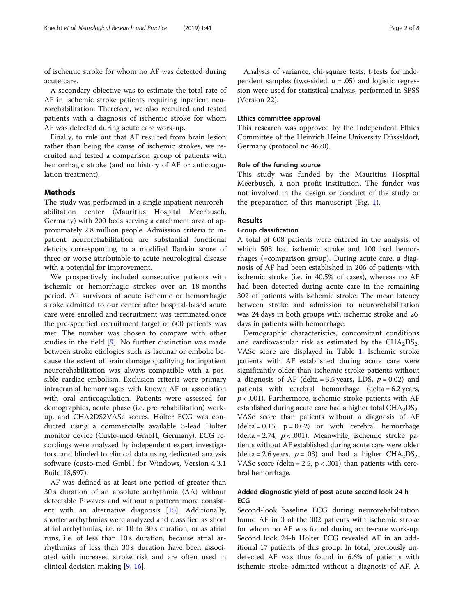of ischemic stroke for whom no AF was detected during acute care.

A secondary objective was to estimate the total rate of AF in ischemic stroke patients requiring inpatient neurorehabilitation. Therefore, we also recruited and tested patients with a diagnosis of ischemic stroke for whom AF was detected during acute care work-up.

Finally, to rule out that AF resulted from brain lesion rather than being the cause of ischemic strokes, we recruited and tested a comparison group of patients with hemorrhagic stroke (and no history of AF or anticoagulation treatment).

#### Methods

The study was performed in a single inpatient neurorehabilitation center (Mauritius Hospital Meerbusch, Germany) with 200 beds serving a catchment area of approximately 2.8 million people. Admission criteria to inpatient neurorehabilitation are substantial functional deficits corresponding to a modified Rankin score of three or worse attributable to acute neurological disease with a potential for improvement.

We prospectively included consecutive patients with ischemic or hemorrhagic strokes over an 18-months period. All survivors of acute ischemic or hemorrhagic stroke admitted to our center after hospital-based acute care were enrolled and recruitment was terminated once the pre-specified recruitment target of 600 patients was met. The number was chosen to compare with other studies in the field [[9\]](#page-7-0). No further distinction was made between stroke etiologies such as lacunar or embolic because the extent of brain damage qualifying for inpatient neurorehabilitation was always compatible with a possible cardiac embolism. Exclusion criteria were primary intracranial hemorrhages with known AF or association with oral anticoagulation. Patients were assessed for demographics, acute phase (i.e. pre-rehabilitation) workup, and CHA2DS2VASc scores. Holter ECG was conducted using a commercially available 3-lead Holter monitor device (Custo-med GmbH, Germany). ECG recordings were analyzed by independent expert investigators, and blinded to clinical data using dedicated analysis software (custo-med GmbH for Windows, Version 4.3.1 Build 18,597).

AF was defined as at least one period of greater than 30 s duration of an absolute arrhythmia (AA) without detectable P-waves and without a pattern more consistent with an alternative diagnosis [\[15\]](#page-7-0). Additionally, shorter arrhythmias were analyzed and classified as short atrial arrhythmias, i.e. of 10 to 30 s duration, or as atrial runs, i.e. of less than 10 s duration, because atrial arrhythmias of less than 30 s duration have been associated with increased stroke risk and are often used in clinical decision-making [[9,](#page-7-0) [16\]](#page-7-0).

Analysis of variance, chi-square tests, t-tests for independent samples (two-sided,  $\alpha$  = .05) and logistic regression were used for statistical analysis, performed in SPSS (Version 22).

#### Ethics committee approval

This research was approved by the Independent Ethics Committee of the Heinrich Heine University Düsseldorf, Germany (protocol no 4670).

#### Role of the funding source

This study was funded by the Mauritius Hospital Meerbusch, a non profit institution. The funder was not involved in the design or conduct of the study or the preparation of this manuscript (Fig. [1](#page-2-0)).

# Results

#### Group classification

A total of 608 patients were entered in the analysis, of which 508 had ischemic stroke and 100 had hemorrhages (=comparison group). During acute care, a diagnosis of AF had been established in 206 of patients with ischemic stroke (i.e. in 40.5% of cases), whereas no AF had been detected during acute care in the remaining 302 of patients with ischemic stroke. The mean latency between stroke and admission to neurorehabilitation was 24 days in both groups with ischemic stroke and 26 days in patients with hemorrhage.

Demographic characteristics, concomitant conditions and cardiovascular risk as estimated by the  $CHA<sub>2</sub>DS<sub>2</sub>$ . VASc score are displayed in Table [1](#page-3-0). Ischemic stroke patients with AF established during acute care were significantly older than ischemic stroke patients without a diagnosis of AF (delta = 3.5 years, LDS,  $p = 0.02$ ) and patients with cerebral hemorrhage (delta = 6.2 years,  $p < .001$ ). Furthermore, ischemic stroke patients with AF established during acute care had a higher total  $CHA<sub>2</sub>DS<sub>2</sub>$ . VASc score than patients without a diagnosis of AF  $(delta = 0.15, p = 0.02)$  or with cerebral hemorrhage (delta = 2.74,  $p < .001$ ). Meanwhile, ischemic stroke patients without AF established during acute care were older (delta = 2.6 years,  $p = .03$ ) and had a higher CHA<sub>2</sub>DS<sub>2-</sub> VASc score (delta = 2.5,  $p < .001$ ) than patients with cerebral hemorrhage.

# Added diagnostic yield of post-acute second-look 24-h ECG

Second-look baseline ECG during neurorehabilitation found AF in 3 of the 302 patients with ischemic stroke for whom no AF was found during acute-care work-up. Second look 24-h Holter ECG revealed AF in an additional 17 patients of this group. In total, previously undetected AF was thus found in 6.6% of patients with ischemic stroke admitted without a diagnosis of AF. A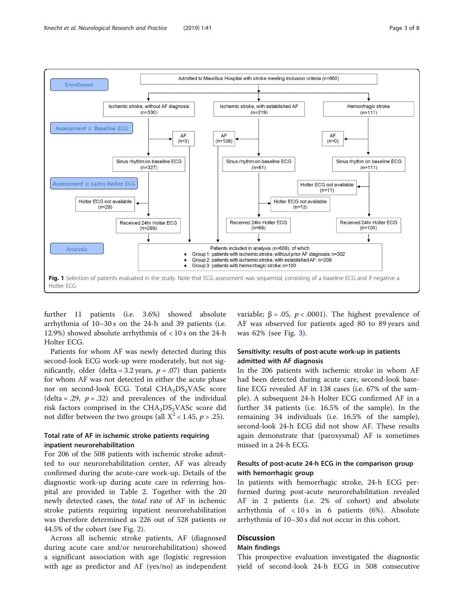<span id="page-2-0"></span>

further 11 patients (i.e. 3.6%) showed absolute arrhythmia of 10–30 s on the 24-h and 39 patients (i.e. 12.9%) showed absolute arrhythmia of < 10 s on the 24-h Holter ECG.

Patients for whom AF was newly detected during this second-look ECG work-up were moderately, but not significantly, older (delta = 3.2 years,  $p = .07$ ) than patients for whom AF was not detected in either the acute phase nor on second-look ECG. Total  $CHA<sub>2</sub>DS<sub>2</sub> VASc$  score (delta = .29,  $p = .32$ ) and prevalences of the individual risk factors comprised in the  $CHA<sub>2</sub>DS<sub>2</sub>VASc$  score did not differ between the two groups (all  $X^2$  < 1.45, p > .25).

# Total rate of AF in ischemic stroke patients requiring inpatient neurorehabilitation

For 206 of the 508 patients with ischemic stroke admitted to our neurorehabilitation center, AF was already confirmed during the acute-care work-up. Details of the diagnostic work-up during acute care in referring hospital are provided in Table [2.](#page-4-0) Together with the 20 newly detected cases, the total rate of AF in ischemic stroke patients requiring inpatient neurorehabilitation was therefore determined as 226 out of 528 patients or 44.5% of the cohort (see Fig. [2\)](#page-5-0).

Across all ischemic stroke patients, AF (diagnosed during acute care and/or neurorehabilitation) showed a significant association with age (logistic regression with age as predictor and AF (yes/no) as independent variable;  $β = .05$ ,  $p < .0001$ ). The highest prevalence of AF was observed for patients aged 80 to 89 years and was 62% (see Fig. [3\)](#page-6-0).

# Sensitivity: results of post-acute work-up in patients admitted with AF diagnosis

In the 206 patients with ischemic stroke in whom AF had been detected during acute care, second-look baseline ECG revealed AF in 138 cases (i.e. 67% of the sample). A subsequent 24-h Holter ECG confirmed AF in a further 34 patients (i.e. 16.5% of the sample). In the remaining 34 individuals (i.e. 16.5% of the sample), second-look 24-h ECG did not show AF. These results again demonstrate that (paroxysmal) AF is sometimes missed in a 24-h ECG.

# Results of post-acute 24-h ECG in the comparison group with hemorrhagic group

In patients with hemorrhagic stroke, 24-h ECG performed during post-acute neurorehabilitation revealed AF in 2 patients (i.e. 2% of cohort) and absolute arrhythmia of < 10 s in 6 patients (6%). Absolute arrhythmia of 10–30 s did not occur in this cohort.

# **Discussion**

# Main findings

This prospective evaluation investigated the diagnostic yield of second-look 24-h ECG in 508 consecutive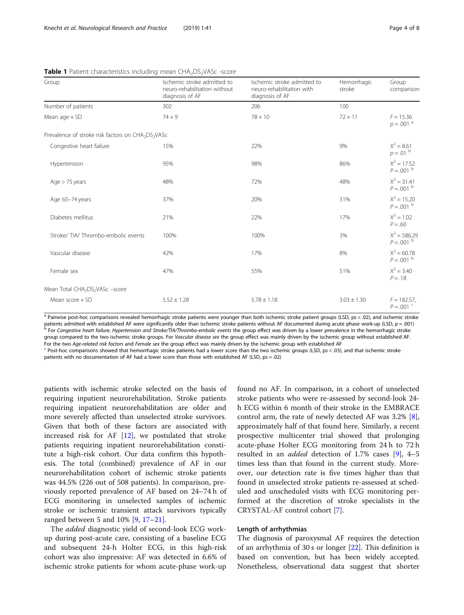| Group                                                                      | Ischemic stroke admitted to<br>neuro-rehabilitation without<br>diagnosis of AF | Ischemic stroke admitted to<br>neuro-rehabilitation with<br>diagnosis of AF | Hemorrhagic<br>stroke | Group<br>comparison                       |
|----------------------------------------------------------------------------|--------------------------------------------------------------------------------|-----------------------------------------------------------------------------|-----------------------|-------------------------------------------|
| Number of patients                                                         | 302                                                                            | 206                                                                         | 100                   |                                           |
| Mean $aqe + SD$                                                            | $74 + 9$                                                                       | $78 + 10$                                                                   | $72 + 11$             | $F = 15.36$<br>$p = .001$ <sup>a</sup>    |
| Prevalence of stroke risk factors on CHA <sub>2</sub> DS <sub>2</sub> VASc |                                                                                |                                                                             |                       |                                           |
| Congestive heart failure                                                   | 15%                                                                            | 22%                                                                         | 9%                    | $X^2 = 8.61$<br>$p = .01$ b               |
| Hypertension                                                               | 95%                                                                            | 98%                                                                         | 86%                   | $X^2 = 17.52$<br>$P = .001$ b             |
| Age $>$ 75 years                                                           | 48%                                                                            | 72%                                                                         | 48%                   | $X^2 = 31.41$<br>$P = .001$ b             |
| Age 65-74 years                                                            | 37%                                                                            | 20%                                                                         | 31%                   | $X^2 = 15.20$<br>$P = .001$ b             |
| Diabetes mellitus                                                          | 21%                                                                            | 22%                                                                         | 17%                   | $X^2 = 1.02$<br>$P = .60$                 |
| Stroke/TIA/Thrombo-embolic events                                          | 100%                                                                           | 100%                                                                        | 3%                    | $X^2 = 586.29$<br>$P = .001$ b            |
| Vascular disease                                                           | 42%                                                                            | 17%                                                                         | 8%                    | $X^2 = 60.78$<br>$P = .001$ b             |
| Female sex                                                                 | 47%                                                                            | 55%                                                                         | 51%                   | $X^2 = 3.40$<br>$P = .18$                 |
| Mean Total CHA <sub>2</sub> DS <sub>2</sub> VASc -score                    |                                                                                |                                                                             |                       |                                           |
| Mean $score + SD$                                                          | $5.52 \pm 1.28$                                                                | $5.78 \pm 1.18$                                                             | $3.03 \pm 1.30$       | $F = 182.57$ ,<br>$P = .001$ <sup>c</sup> |

<span id="page-3-0"></span>**Table 1** Patient characteristics including mean CHA<sub>2</sub>DS<sub>2</sub>VASc -score

<sup>a</sup> Pairwise post-hoc comparisons revealed hemorrhagic stroke patients were younger than both ischemic stroke patient groups (LSD, ps < .02), and ischemic stroke patients admitted with established AF were significantly older than ischemic stroke patients without AF documented during acute phase work-up (LSD, p = .001)<br><sup>b</sup> For Congestive heart failure, Hypertension and Stroke/TIA/Th group compared to the two ischemic stroke groups. For Vascular disease sex the group effect was mainly driven by the ischemic group without established AF.

For the two Age-related risk factors and Female sex the group effect was mainly driven by the ischemic group with established AF<br><sup>c</sup> Post-hoc comparisons showed that hemorrhagic stroke patients had a lower score than the t patients with no documentation of AF had a lower score than those with established AF (LSD, ps = .02)

patients with ischemic stroke selected on the basis of requiring inpatient neurorehabilitation. Stroke patients requiring inpatient neurorehabilitation are older and more severely affected than unselected stroke survivors. Given that both of these factors are associated with increased risk for AF [[12\]](#page-7-0), we postulated that stroke patients requiring inpatient neurorehabilitation constitute a high-risk cohort. Our data confirm this hypothesis. The total (combined) prevalence of AF in our neurorehabilitation cohort of ischemic stroke patients was 44.5% (226 out of 508 patients). In comparison, previously reported prevalence of AF based on 24–74 h of ECG monitoring in unselected samples of ischemic stroke or ischemic transient attack survivors typically ranged between 5 and 10% [[9,](#page-7-0) [17](#page-7-0)–[21](#page-7-0)].

The *added* diagnostic yield of second-look ECG workup during post-acute care, consisting of a baseline ECG and subsequent 24-h Holter ECG, in this high-risk cohort was also impressive: AF was detected in 6.6% of ischemic stroke patients for whom acute-phase work-up found no AF. In comparison, in a cohort of unselected stroke patients who were re-assessed by second-look 24 h ECG within 6 month of their stroke in the EMBRACE control arm, the rate of newly detected AF was 3.2% [\[8](#page-7-0)], approximately half of that found here. Similarly, a recent prospective multicenter trial showed that prolonging acute-phase Holter ECG monitoring from 24 h to 72 h resulted in an added detection of 1.7% cases [[9\]](#page-7-0), 4–5 times less than that found in the current study. Moreover, our detection rate is five times higher than that found in unselected stroke patients re-assessed at scheduled and unscheduled visits with ECG monitoring performed at the discretion of stroke specialists in the CRYSTAL-AF control cohort [\[7](#page-7-0)].

### Length of arrhythmias

The diagnosis of paroxysmal AF requires the detection of an arrhythmia of 30 s or longer [\[22](#page-7-0)]. This definition is based on convention, but has been widely accepted. Nonetheless, observational data suggest that shorter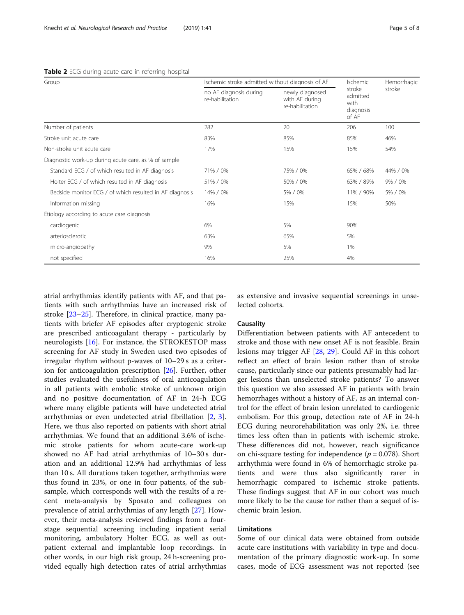| Group                                                   | Ischemic stroke admitted without diagnosis of AF |                                                      | <b>Ischemic</b>                                  | Hemorrhagic |
|---------------------------------------------------------|--------------------------------------------------|------------------------------------------------------|--------------------------------------------------|-------------|
|                                                         | no AF diagnosis during<br>re-habilitation        | newly diagnosed<br>with AF during<br>re-habilitation | stroke<br>admitted<br>with<br>diagnosis<br>of AF | stroke      |
| Number of patients                                      | 282                                              | 20                                                   | 206                                              | 100         |
| Stroke unit acute care                                  | 83%                                              | 85%                                                  | 85%                                              | 46%         |
| Non-stroke unit acute care                              | 17%                                              | 15%                                                  | 15%                                              | 54%         |
| Diagnostic work-up during acute care, as % of sample    |                                                  |                                                      |                                                  |             |
| Standard ECG / of which resulted in AF diagnosis        | 71% / 0%                                         | 75% / 0%                                             | 65% / 68%                                        | 44% / 0%    |
| Holter ECG / of which resulted in AF diagnosis          | 51% / 0%                                         | 50% / 0%                                             | 63% / 89%                                        | 9% / 0%     |
| Bedside monitor ECG / of which resulted in AF diagnosis | 14% / 0%                                         | 5% / 0%                                              | 11% / 90%                                        | 5% / 0%     |
| Information missing                                     | 16%                                              | 15%                                                  | 15%                                              | 50%         |
| Etiology according to acute care diagnosis              |                                                  |                                                      |                                                  |             |
| cardiogenic                                             | 6%                                               | 5%                                                   | 90%                                              |             |
| arteriosclerotic                                        | 63%                                              | 65%                                                  | 5%                                               |             |
| micro-angiopathy                                        | 9%                                               | 5%                                                   | 1%                                               |             |
| not specified                                           | 16%                                              | 25%                                                  | 4%                                               |             |

#### <span id="page-4-0"></span>Table 2 ECG during acute care in referring hospital

atrial arrhythmias identify patients with AF, and that patients with such arrhythmias have an increased risk of stroke [[23](#page-7-0)–[25](#page-7-0)]. Therefore, in clinical practice, many patients with briefer AF episodes after cryptogenic stroke are prescribed anticoagulant therapy - particularly by neurologists [[16\]](#page-7-0). For instance, the STROKESTOP mass screening for AF study in Sweden used two episodes of irregular rhythm without p-waves of 10–29 s as a criterion for anticoagulation prescription [[26\]](#page-7-0). Further, other studies evaluated the usefulness of oral anticoagulation in all patients with embolic stroke of unknown origin and no positive documentation of AF in 24-h ECG where many eligible patients will have undetected atrial arrhythmias or even undetected atrial fibrillation [\[2](#page-7-0), [3](#page-7-0)]. Here, we thus also reported on patients with short atrial arrhythmias. We found that an additional 3.6% of ischemic stroke patients for whom acute-care work-up showed no AF had atrial arrhythmias of 10–30 s duration and an additional 12.9% had arrhythmias of less than 10 s. All durations taken together, arrhythmias were thus found in 23%, or one in four patients, of the subsample, which corresponds well with the results of a recent meta-analysis by Sposato and colleagues on prevalence of atrial arrhythmias of any length [\[27](#page-7-0)]. However, their meta-analysis reviewed findings from a fourstage sequential screening including inpatient serial monitoring, ambulatory Holter ECG, as well as outpatient external and implantable loop recordings. In other words, in our high risk group, 24 h-screening provided equally high detection rates of atrial arrhythmias as extensive and invasive sequential screenings in unselected cohorts.

# **Causality**

Differentiation between patients with AF antecedent to stroke and those with new onset AF is not feasible. Brain lesions may trigger AF [[28,](#page-7-0) [29\]](#page-7-0). Could AF in this cohort reflect an effect of brain lesion rather than of stroke cause, particularly since our patients presumably had larger lesions than unselected stroke patients? To answer this question we also assessed AF in patients with brain hemorrhages without a history of AF, as an internal control for the effect of brain lesion unrelated to cardiogenic embolism. For this group, detection rate of AF in 24-h ECG during neurorehabilitation was only 2%, i.e. three times less often than in patients with ischemic stroke. These differences did not, however, reach significance on chi-square testing for independence ( $p = 0.078$ ). Short arrhythmia were found in 6% of hemorrhagic stroke patients and were thus also significantly rarer in hemorrhagic compared to ischemic stroke patients. These findings suggest that AF in our cohort was much more likely to be the cause for rather than a sequel of ischemic brain lesion.

# Limitations

Some of our clinical data were obtained from outside acute care institutions with variability in type and documentation of the primary diagnostic work-up. In some cases, mode of ECG assessment was not reported (see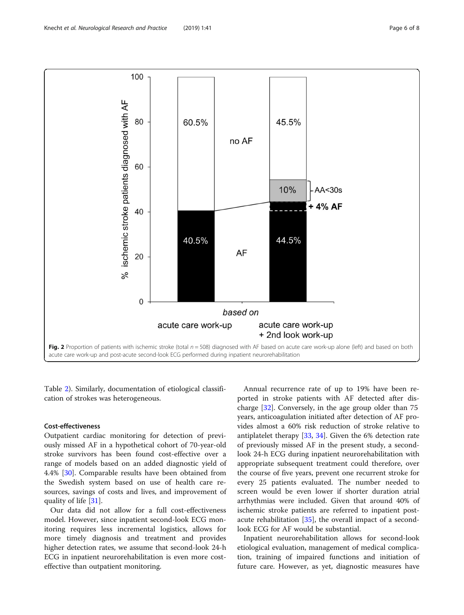<span id="page-5-0"></span>

Table [2](#page-4-0)). Similarly, documentation of etiological classification of strokes was heterogeneous.

#### Cost-effectiveness

Outpatient cardiac monitoring for detection of previously missed AF in a hypothetical cohort of 70-year-old stroke survivors has been found cost-effective over a range of models based on an added diagnostic yield of 4.4% [[30](#page-7-0)]. Comparable results have been obtained from the Swedish system based on use of health care resources, savings of costs and lives, and improvement of quality of life [[31](#page-7-0)].

Our data did not allow for a full cost-effectiveness model. However, since inpatient second-look ECG monitoring requires less incremental logistics, allows for more timely diagnosis and treatment and provides higher detection rates, we assume that second-look 24-h ECG in inpatient neurorehabilitation is even more costeffective than outpatient monitoring.

Annual recurrence rate of up to 19% have been reported in stroke patients with AF detected after discharge [\[32](#page-7-0)]. Conversely, in the age group older than 75 years, anticoagulation initiated after detection of AF provides almost a 60% risk reduction of stroke relative to antiplatelet therapy [\[33](#page-7-0), [34](#page-7-0)]. Given the 6% detection rate of previously missed AF in the present study, a secondlook 24-h ECG during inpatient neurorehabilitation with appropriate subsequent treatment could therefore, over the course of five years, prevent one recurrent stroke for every 25 patients evaluated. The number needed to screen would be even lower if shorter duration atrial arrhythmias were included. Given that around 40% of ischemic stroke patients are referred to inpatient postacute rehabilitation [[35\]](#page-7-0), the overall impact of a secondlook ECG for AF would be substantial.

Inpatient neurorehabilitation allows for second-look etiological evaluation, management of medical complication, training of impaired functions and initiation of future care. However, as yet, diagnostic measures have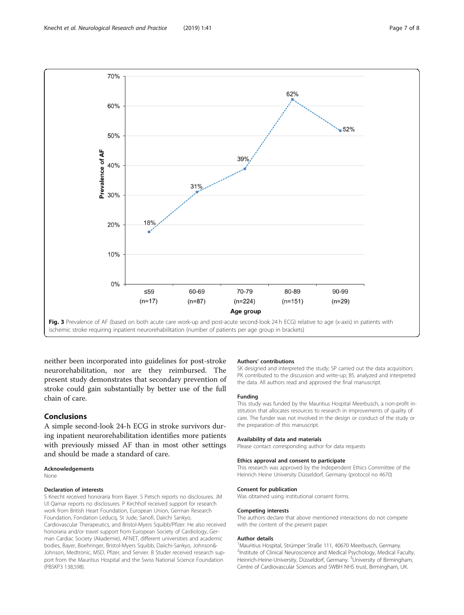<span id="page-6-0"></span>

neither been incorporated into guidelines for post-stroke neurorehabilitation, nor are they reimbursed. The present study demonstrates that secondary prevention of stroke could gain substantially by better use of the full chain of care.

# Conclusions

A simple second-look 24-h ECG in stroke survivors during inpatient neurorehabilitation identifies more patients with previously missed AF than in most other settings and should be made a standard of care.

#### Acknowledgements

None

#### Declaration of interests

S Knecht received honoraria from Bayer. S Petsch reports no disclosures. JM Ul Qamar reports no disclosures. P Kirchhof received support for research work from British Heart Foundation, European Union, German Research Foundation, Fondation Leducq, St Jude, Sanofi, Daiichi Sankyo, Cardiovascular Therapeutics, and Bristol-Myers Squibb/Pfizer. He also received honoraria and/or travel support from European Society of Cardiology, German Cardiac Society (Akademie), AFNET, different universities and academic bodies, Bayer, Boehringer, Bristol-Myers Squibb, Daiichi-Sankyo, Johnson&- Johnson, Medtronic, MSD, Pfizer, and Servier. B Studer received research support from the Mauritius Hospital and the Swiss National Science Foundation (PBSKP3 138,598).

#### Authors' contributions

SK designed and interpreted the study; SP carried out the data acquisition; PK contributed to the discussion and write-up; BS. analyzed and interpreted the data. All authors read and approved the final manuscript.

#### Funding

This study was funded by the Mauritius Hospital Meerbusch, a non-profit institution that allocates resources to research in improvements of quality of care. The funder was not involved in the design or conduct of the study or the preparation of this manuscript.

#### Availability of data and materials

Please contact corresponding author for data requests

### Ethics approval and consent to participate

This research was approved by the Independent Ethics Committee of the Heinrich Heine University Düsseldorf, Germany (protocol no 4670)

#### Consent for publication

Was obtained using institutional consent forms.

#### Competing interests

The authors declare that above mentioned interactions do not compete with the content of the present paper.

#### Author details

<sup>1</sup> Mauritius Hospital, Strümper Straße 111, 40670 Meerbusch, Germany. <sup>2</sup>Institute of Clinical Neuroscience and Medical Psychology, Medical Faculty Heinrich-Heine-University, Düsseldorf, Germany. <sup>3</sup>University of Birmingham, Centre of Cardiovascular Sciences and SWBH NHS trust, Birmingham, UK.